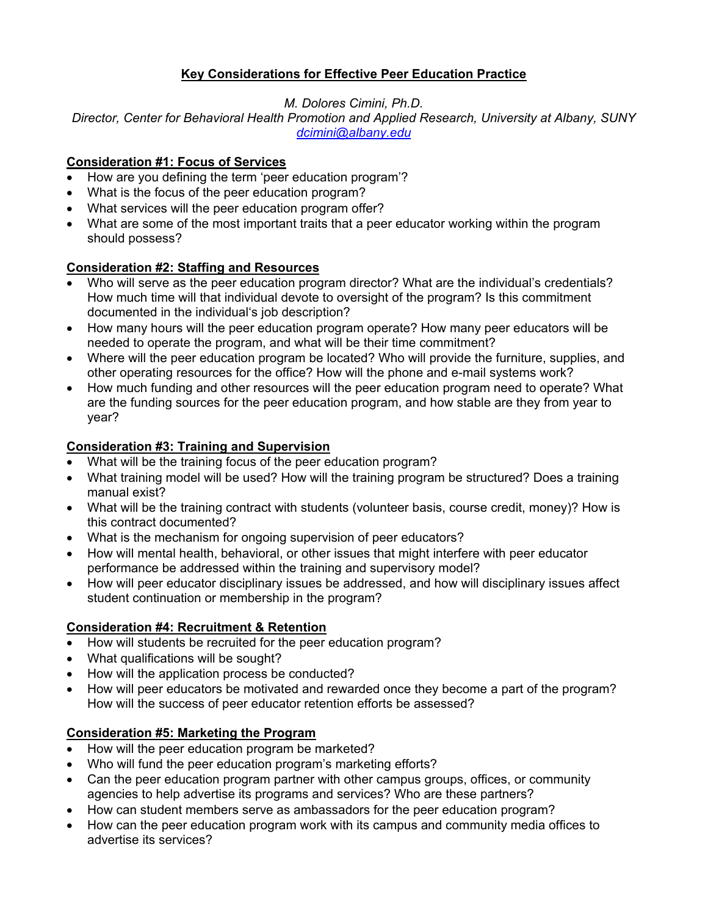# **Key Considerations for Effective Peer Education Practice**

*M. Dolores Cimini, Ph.D.*

*Director, Center for Behavioral Health Promotion and Applied Research, University at Albany, SUNY [dcimini@albany.edu](mailto:dcimini@albany.edu)*

#### **Consideration #1: Focus of Services**

- How are you defining the term 'peer education program'?
- What is the focus of the peer education program?
- What services will the peer education program offer?
- What are some of the most important traits that a peer educator working within the program should possess?

### **Consideration #2: Staffing and Resources**

- Who will serve as the peer education program director? What are the individual's credentials? How much time will that individual devote to oversight of the program? Is this commitment documented in the individual's job description?
- How many hours will the peer education program operate? How many peer educators will be needed to operate the program, and what will be their time commitment?
- Where will the peer education program be located? Who will provide the furniture, supplies, and other operating resources for the office? How will the phone and e-mail systems work?
- How much funding and other resources will the peer education program need to operate? What are the funding sources for the peer education program, and how stable are they from year to year?

### **Consideration #3: Training and Supervision**

- What will be the training focus of the peer education program?
- What training model will be used? How will the training program be structured? Does a training manual exist?
- What will be the training contract with students (volunteer basis, course credit, money)? How is this contract documented?
- What is the mechanism for ongoing supervision of peer educators?
- How will mental health, behavioral, or other issues that might interfere with peer educator performance be addressed within the training and supervisory model?
- How will peer educator disciplinary issues be addressed, and how will disciplinary issues affect student continuation or membership in the program?

# **Consideration #4: Recruitment & Retention**

- How will students be recruited for the peer education program?
- What qualifications will be sought?
- How will the application process be conducted?
- How will peer educators be motivated and rewarded once they become a part of the program? How will the success of peer educator retention efforts be assessed?

# **Consideration #5: Marketing the Program**

- How will the peer education program be marketed?
- Who will fund the peer education program's marketing efforts?
- Can the peer education program partner with other campus groups, offices, or community agencies to help advertise its programs and services? Who are these partners?
- How can student members serve as ambassadors for the peer education program?
- How can the peer education program work with its campus and community media offices to advertise its services?